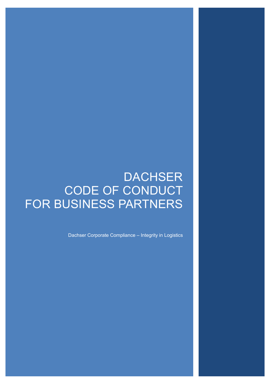# **DACHSER** CODE OF CONDUCT FOR BUSINESS PARTNERS

Dachser Corporate Compliance – Integrity in Logistics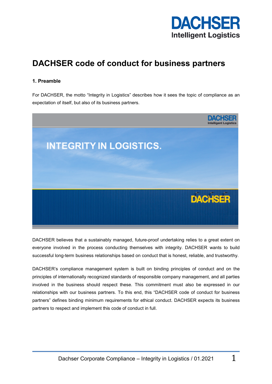

# **DACHSER code of conduct for business partners**

# **1. Preamble**

For DACHSER, the motto "Integrity in Logistics" describes how it sees the topic of compliance as an expectation of itself, but also of its business partners.



DACHSER believes that a sustainably managed, future-proof undertaking relies to a great extent on everyone involved in the process conducting themselves with integrity. DACHSER wants to build successful long-term business relationships based on conduct that is honest, reliable, and trustworthy.

DACHSER's compliance management system is built on binding principles of conduct and on the principles of internationally recognized standards of responsible company management, and all parties involved in the business should respect these. This commitment must also be expressed in our relationships with our business partners. To this end, this "DACHSER code of conduct for business partners" defines binding minimum requirements for ethical conduct. DACHSER expects its business partners to respect and implement this code of conduct in full.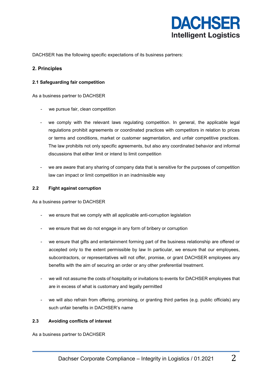

DACHSER has the following specific expectations of its business partners:

## **2. Principles**

#### **2.1 Safeguarding fair competition**

As a business partner to DACHSER

- we pursue fair, clean competition
- we comply with the relevant laws regulating competition. In general, the applicable legal regulations prohibit agreements or coordinated practices with competitors in relation to prices or terms and conditions, market or customer segmentation, and unfair competitive practices. The law prohibits not only specific agreements, but also any coordinated behavior and informal discussions that either limit or intend to limit competition
- we are aware that any sharing of company data that is sensitive for the purposes of competition law can impact or limit competition in an inadmissible way

#### **2.2 Fight against corruption**

As a business partner to DACHSER

- we ensure that we comply with all applicable anti-corruption legislation
- we ensure that we do not engage in any form of bribery or corruption
- we ensure that gifts and entertainment forming part of the business relationship are offered or accepted only to the extent permissible by law In particular, we ensure that our employees, subcontractors, or representatives will not offer, promise, or grant DACHSER employees any benefits with the aim of securing an order or any other preferential treatment.
- we will not assume the costs of hospitality or invitations to events for DACHSER employees that are in excess of what is customary and legally permitted
- we will also refrain from offering, promising, or granting third parties (e.g. public officials) any such unfair benefits in DACHSER's name

#### **2.3 Avoiding conflicts of interest**

As a business partner to DACHSER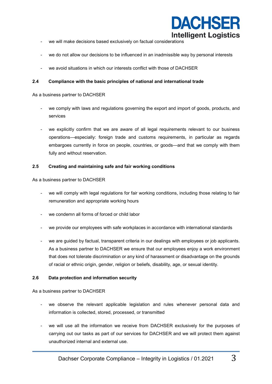

- we will make decisions based exclusively on factual considerations
- we do not allow our decisions to be influenced in an inadmissible way by personal interests
- we avoid situations in which our interests conflict with those of DACHSER

#### **2.4 Compliance with the basic principles of national and international trade**

As a business partner to DACHSER

- we comply with laws and regulations governing the export and import of goods, products, and services
- we explicitly confirm that we are aware of all legal requirements relevant to our business operations—especially: foreign trade and customs requirements, in particular as regards embargoes currently in force on people, countries, or goods—and that we comply with them fully and without reservation.

#### **2.5 Creating and maintaining safe and fair working conditions**

As a business partner to DACHSER

- we will comply with legal regulations for fair working conditions, including those relating to fair remuneration and appropriate working hours
- we condemn all forms of forced or child labor
- we provide our employees with safe workplaces in accordance with international standards
- we are guided by factual, transparent criteria in our dealings with employees or job applicants. As a business partner to DACHSER we ensure that our employees enjoy a work environment that does not tolerate discrimination or any kind of harassment or disadvantage on the grounds of racial or ethnic origin, gender, religion or beliefs, disability, age, or sexual identity.

#### **2.6 Data protection and information security**

As a business partner to DACHSER

- we observe the relevant applicable legislation and rules whenever personal data and information is collected, stored, processed, or transmitted
- we will use all the information we receive from DACHSER exclusively for the purposes of carrying out our tasks as part of our services for DACHSER and we will protect them against unauthorized internal and external use.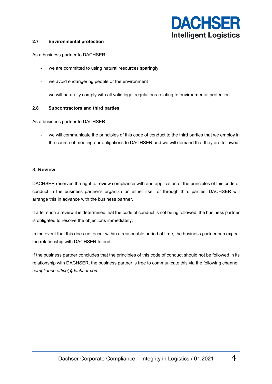

#### **2.7 Environmental protection**

As a business partner to DACHSER

- we are committed to using natural resources sparingly
- we avoid endangering people or the environment
- we will naturally comply with all valid legal regulations relating to environmental protection.

#### **2.8 Subcontractors and third parties**

As a business partner to DACHSER

we will communicate the principles of this code of conduct to the third parties that we employ in the course of meeting our obligations to DACHSER and we will demand that they are followed.

### **3. Review**

DACHSER reserves the right to review compliance with and application of the principles of this code of conduct in the business partner's organization either itself or through third parties. DACHSER will arrange this in advance with the business partner.

If after such a review it is determined that the code of conduct is not being followed, the business partner is obligated to resolve the objections immediately.

In the event that this does not occur within a reasonable period of time, the business partner can expect the relationship with DACHSER to end.

If the business partner concludes that the principles of this code of conduct should not be followed in its relationship with DACHSER, the business partner is free to communicate this via the following channel: *compliance.office@dachser.com*